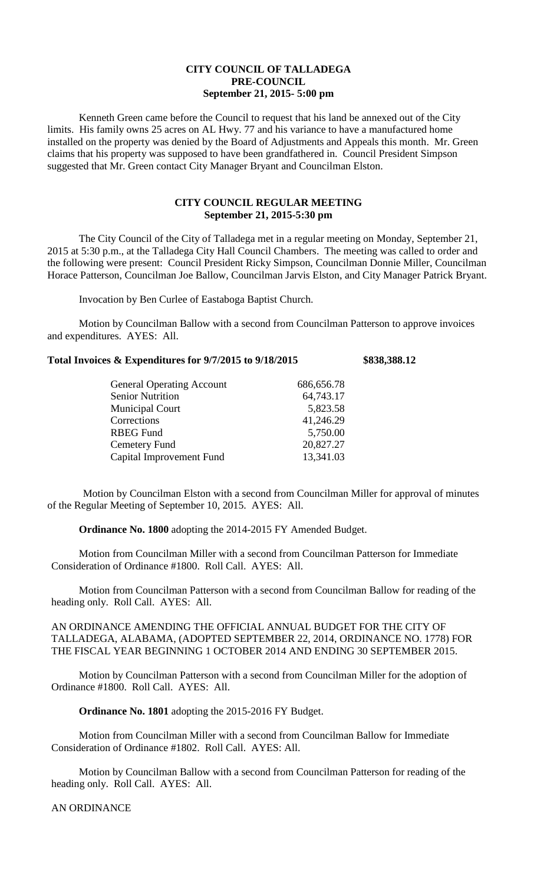## **CITY COUNCIL OF TALLADEGA PRE-COUNCIL September 21, 2015- 5:00 pm**

Kenneth Green came before the Council to request that his land be annexed out of the City limits. His family owns 25 acres on AL Hwy. 77 and his variance to have a manufactured home installed on the property was denied by the Board of Adjustments and Appeals this month. Mr. Green claims that his property was supposed to have been grandfathered in. Council President Simpson suggested that Mr. Green contact City Manager Bryant and Councilman Elston.

# **CITY COUNCIL REGULAR MEETING September 21, 2015-5:30 pm**

The City Council of the City of Talladega met in a regular meeting on Monday, September 21, 2015 at 5:30 p.m., at the Talladega City Hall Council Chambers. The meeting was called to order and the following were present: Council President Ricky Simpson, Councilman Donnie Miller, Councilman Horace Patterson, Councilman Joe Ballow, Councilman Jarvis Elston, and City Manager Patrick Bryant.

Invocation by Ben Curlee of Eastaboga Baptist Church.

Motion by Councilman Ballow with a second from Councilman Patterson to approve invoices and expenditures. AYES: All.

### **Total Invoices & Expenditures for 9/7/2015 to 9/18/2015 \$838,388.12**

| <b>General Operating Account</b> | 686,656.78 |
|----------------------------------|------------|
| <b>Senior Nutrition</b>          | 64,743.17  |
| <b>Municipal Court</b>           | 5,823.58   |
| Corrections                      | 41,246.29  |
| <b>RBEG Fund</b>                 | 5,750.00   |
| Cemetery Fund                    | 20,827.27  |
| Capital Improvement Fund         | 13,341.03  |

Motion by Councilman Elston with a second from Councilman Miller for approval of minutes of the Regular Meeting of September 10, 2015. AYES: All.

**Ordinance No. 1800** adopting the 2014-2015 FY Amended Budget.

Motion from Councilman Miller with a second from Councilman Patterson for Immediate Consideration of Ordinance #1800. Roll Call. AYES: All.

Motion from Councilman Patterson with a second from Councilman Ballow for reading of the heading only. Roll Call. AYES: All.

AN ORDINANCE AMENDING THE OFFICIAL ANNUAL BUDGET FOR THE CITY OF TALLADEGA, ALABAMA, (ADOPTED SEPTEMBER 22, 2014, ORDINANCE NO. 1778) FOR THE FISCAL YEAR BEGINNING 1 OCTOBER 2014 AND ENDING 30 SEPTEMBER 2015.

Motion by Councilman Patterson with a second from Councilman Miller for the adoption of Ordinance #1800. Roll Call. AYES: All.

**Ordinance No. 1801** adopting the 2015-2016 FY Budget.

Motion from Councilman Miller with a second from Councilman Ballow for Immediate Consideration of Ordinance #1802. Roll Call. AYES: All.

Motion by Councilman Ballow with a second from Councilman Patterson for reading of the heading only. Roll Call. AYES: All.

#### AN ORDINANCE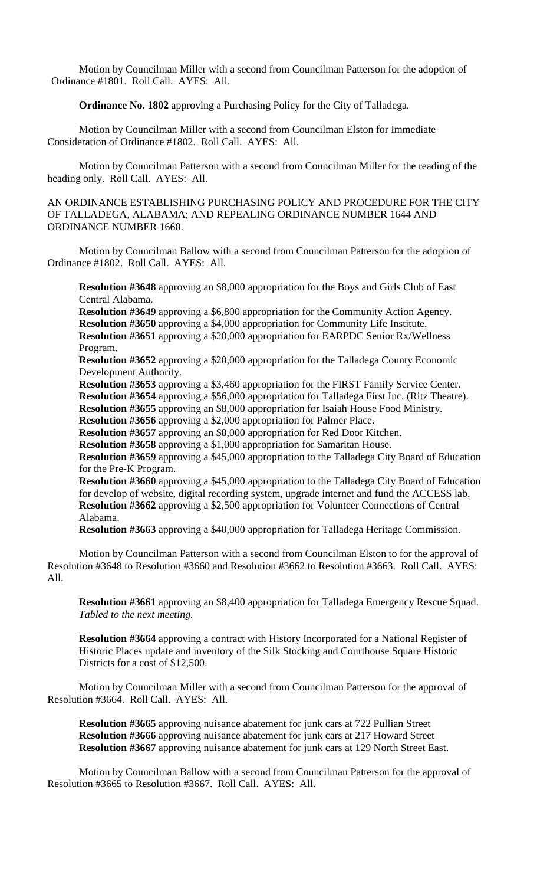Motion by Councilman Miller with a second from Councilman Patterson for the adoption of Ordinance #1801. Roll Call. AYES: All.

**Ordinance No. 1802** approving a Purchasing Policy for the City of Talladega.

Motion by Councilman Miller with a second from Councilman Elston for Immediate Consideration of Ordinance #1802. Roll Call. AYES: All.

Motion by Councilman Patterson with a second from Councilman Miller for the reading of the heading only. Roll Call. AYES: All.

AN ORDINANCE ESTABLISHING PURCHASING POLICY AND PROCEDURE FOR THE CITY OF TALLADEGA, ALABAMA; AND REPEALING ORDINANCE NUMBER 1644 AND ORDINANCE NUMBER 1660.

Motion by Councilman Ballow with a second from Councilman Patterson for the adoption of Ordinance #1802. Roll Call. AYES: All.

**Resolution #3648** approving an \$8,000 appropriation for the Boys and Girls Club of East Central Alabama.

**Resolution #3649** approving a \$6,800 appropriation for the Community Action Agency. **Resolution #3650** approving a \$4,000 appropriation for Community Life Institute. **Resolution #3651** approving a \$20,000 appropriation for EARPDC Senior Rx/Wellness Program.

**Resolution #3652** approving a \$20,000 appropriation for the Talladega County Economic Development Authority.

**Resolution #3653** approving a \$3,460 appropriation for the FIRST Family Service Center. **Resolution #3654** approving a \$56,000 appropriation for Talladega First Inc. (Ritz Theatre).

**Resolution #3655** approving an \$8,000 appropriation for Isaiah House Food Ministry.

**Resolution #3656** approving a \$2,000 appropriation for Palmer Place.

**Resolution #3657** approving an \$8,000 appropriation for Red Door Kitchen.

**Resolution #3658** approving a \$1,000 appropriation for Samaritan House.

**Resolution #3659** approving a \$45,000 appropriation to the Talladega City Board of Education for the Pre-K Program.

**Resolution #3660** approving a \$45,000 appropriation to the Talladega City Board of Education for develop of website, digital recording system, upgrade internet and fund the ACCESS lab. **Resolution #3662** approving a \$2,500 appropriation for Volunteer Connections of Central Alabama.

**Resolution #3663** approving a \$40,000 appropriation for Talladega Heritage Commission.

Motion by Councilman Patterson with a second from Councilman Elston to for the approval of Resolution #3648 to Resolution #3660 and Resolution #3662 to Resolution #3663. Roll Call. AYES: All.

**Resolution #3661** approving an \$8,400 appropriation for Talladega Emergency Rescue Squad. *Tabled to the next meeting.*

**Resolution #3664** approving a contract with History Incorporated for a National Register of Historic Places update and inventory of the Silk Stocking and Courthouse Square Historic Districts for a cost of \$12,500.

Motion by Councilman Miller with a second from Councilman Patterson for the approval of Resolution #3664. Roll Call. AYES: All.

**Resolution #3665** approving nuisance abatement for junk cars at 722 Pullian Street **Resolution #3666** approving nuisance abatement for junk cars at 217 Howard Street **Resolution #3667** approving nuisance abatement for junk cars at 129 North Street East.

Motion by Councilman Ballow with a second from Councilman Patterson for the approval of Resolution #3665 to Resolution #3667. Roll Call. AYES: All.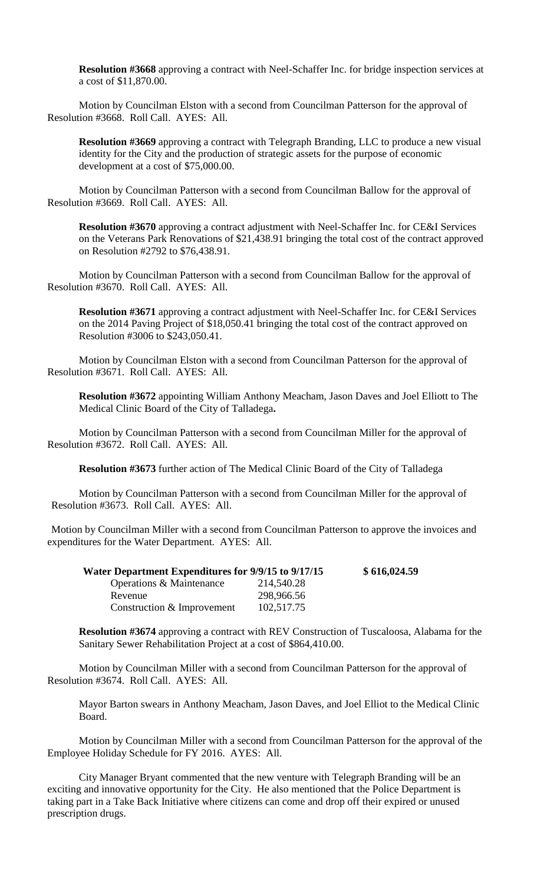**Resolution #3668** approving a contract with Neel-Schaffer Inc. for bridge inspection services at a cost of \$11,870.00.

Motion by Councilman Elston with a second from Councilman Patterson for the approval of Resolution #3668. Roll Call. AYES: All.

**Resolution #3669** approving a contract with Telegraph Branding, LLC to produce a new visual identity for the City and the production of strategic assets for the purpose of economic development at a cost of \$75,000.00.

Motion by Councilman Patterson with a second from Councilman Ballow for the approval of Resolution #3669. Roll Call. AYES: All.

**Resolution #3670** approving a contract adjustment with Neel-Schaffer Inc. for CE&I Services on the Veterans Park Renovations of \$21,438.91 bringing the total cost of the contract approved on Resolution #2792 to \$76,438.91.

Motion by Councilman Patterson with a second from Councilman Ballow for the approval of Resolution #3670. Roll Call. AYES: All.

**Resolution #3671** approving a contract adjustment with Neel-Schaffer Inc. for CE&I Services on the 2014 Paving Project of \$18,050.41 bringing the total cost of the contract approved on Resolution #3006 to \$243,050.41.

Motion by Councilman Elston with a second from Councilman Patterson for the approval of Resolution #3671. Roll Call. AYES: All.

**Resolution #3672** appointing William Anthony Meacham, Jason Daves and Joel Elliott to The Medical Clinic Board of the City of Talladega**.**

Motion by Councilman Patterson with a second from Councilman Miller for the approval of Resolution #3672. Roll Call. AYES: All.

**Resolution #3673** further action of The Medical Clinic Board of the City of Talladega

Motion by Councilman Patterson with a second from Councilman Miller for the approval of Resolution #3673. Roll Call. AYES: All.

Motion by Councilman Miller with a second from Councilman Patterson to approve the invoices and expenditures for the Water Department. AYES: All.

| Water Department Expenditures for 9/9/15 to 9/17/15 |            | \$616,024.59 |
|-----------------------------------------------------|------------|--------------|
| Operations & Maintenance                            | 214,540.28 |              |
| Revenue                                             | 298,966.56 |              |
| Construction & Improvement                          | 102,517.75 |              |

**Resolution #3674** approving a contract with REV Construction of Tuscaloosa, Alabama for the Sanitary Sewer Rehabilitation Project at a cost of \$864,410.00.

Motion by Councilman Miller with a second from Councilman Patterson for the approval of Resolution #3674. Roll Call. AYES: All.

Mayor Barton swears in Anthony Meacham, Jason Daves, and Joel Elliot to the Medical Clinic Board.

Motion by Councilman Miller with a second from Councilman Patterson for the approval of the Employee Holiday Schedule for FY 2016. AYES: All.

City Manager Bryant commented that the new venture with Telegraph Branding will be an exciting and innovative opportunity for the City. He also mentioned that the Police Department is taking part in a Take Back Initiative where citizens can come and drop off their expired or unused prescription drugs.